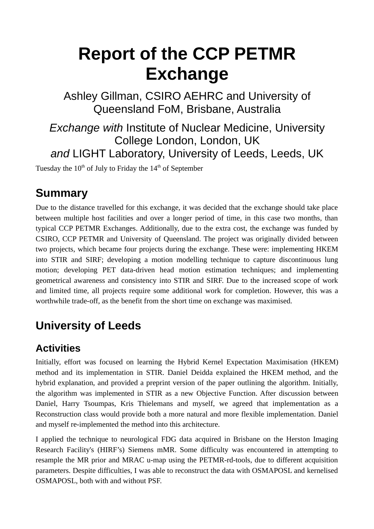# **Report of the CCP PETMR Exchange**

Ashley Gillman, CSIRO AEHRC and University of Queensland FoM, Brisbane, Australia

*Exchange with* Institute of Nuclear Medicine, University College London, London, UK *and* LIGHT Laboratory, University of Leeds, Leeds, UK

Tuesday the  $10<sup>th</sup>$  of July to Friday the  $14<sup>th</sup>$  of September

## **Summary**

Due to the distance travelled for this exchange, it was decided that the exchange should take place between multiple host facilities and over a longer period of time, in this case two months, than typical CCP PETMR Exchanges. Additionally, due to the extra cost, the exchange was funded by CSIRO, CCP PETMR and University of Queensland. The project was originally divided between two projects, which became four projects during the exchange. These were: implementing HKEM into STIR and SIRF; developing a motion modelling technique to capture discontinuous lung motion; developing PET data-driven head motion estimation techniques; and implementing geometrical awareness and consistency into STIR and SIRF. Due to the increased scope of work and limited time, all projects require some additional work for completion. However, this was a worthwhile trade-off, as the benefit from the short time on exchange was maximised.

# **University of Leeds**

## **Activities**

Initially, effort was focused on learning the Hybrid Kernel Expectation Maximisation (HKEM) method and its implementation in STIR. Daniel Deidda explained the HKEM method, and the hybrid explanation, and provided a preprint version of the paper outlining the algorithm. Initially, the algorithm was implemented in STIR as a new Objective Function. After discussion between Daniel, Harry Tsoumpas, Kris Thielemans and myself, we agreed that implementation as a Reconstruction class would provide both a more natural and more flexible implementation. Daniel and myself re-implemented the method into this architecture.

I applied the technique to neurological FDG data acquired in Brisbane on the Herston Imaging Research Facility's (HIRF's) Siemens mMR. Some difficulty was encountered in attempting to resample the MR prior and MRAC u-map using the PETMR-rd-tools, due to different acquisition parameters. Despite difficulties, I was able to reconstruct the data with OSMAPOSL and kernelised OSMAPOSL, both with and without PSF.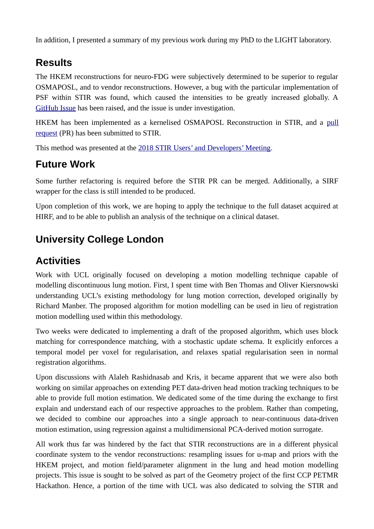In addition, I presented a summary of my previous work during my PhD to the LIGHT laboratory.

## **Results**

The HKEM reconstructions for neuro-FDG were subjectively determined to be superior to regular OSMAPOSL, and to vendor reconstructions. However, a bug with the particular implementation of PSF within STIR was found, which caused the intensities to be greatly increased globally. A [GitHub Issue](https://github.com/UCL/STIR/issues/221) has been raised, and the issue is under investigation.

HKEM has been implemented as a kernelised OSMAPOSL Reconstruction in STIR, and a [pull](https://github.com/UCL/STIR/pull/186) [request](https://github.com/UCL/STIR/pull/186) (PR) has been submitted to STIR.

This method was presented at the [2018 STIR Users' and Developers' Meeting.](http://stir.sourceforge.net/MIC2018UsersMeeting/)

#### **Future Work**

Some further refactoring is required before the STIR PR can be merged. Additionally, a SIRF wrapper for the class is still intended to be produced.

Upon completion of this work, we are hoping to apply the technique to the full dataset acquired at HIRF, and to be able to publish an analysis of the technique on a clinical dataset.

## **University College London**

### **Activities**

Work with UCL originally focused on developing a motion modelling technique capable of modelling discontinuous lung motion. First, I spent time with Ben Thomas and Oliver Kiersnowski understanding UCL's existing methodology for lung motion correction, developed originally by Richard Manber. The proposed algorithm for motion modelling can be used in lieu of registration motion modelling used within this methodology.

Two weeks were dedicated to implementing a draft of the proposed algorithm, which uses block matching for correspondence matching, with a stochastic update schema. It explicitly enforces a temporal model per voxel for regularisation, and relaxes spatial regularisation seen in normal registration algorithms.

Upon discussions with Alaleh Rashidnasab and Kris, it became apparent that we were also both working on similar approaches on extending PET data-driven head motion tracking techniques to be able to provide full motion estimation. We dedicated some of the time during the exchange to first explain and understand each of our respective approaches to the problem. Rather than competing, we decided to combine our approaches into a single approach to near-continuous data-driven motion estimation, using regression against a multidimensional PCA-derived motion surrogate.

All work thus far was hindered by the fact that STIR reconstructions are in a different physical coordinate system to the vendor reconstructions: resampling issues for u-map and priors with the HKEM project, and motion field/parameter alignment in the lung and head motion modelling projects. This issue is sought to be solved as part of the Geometry project of the first CCP PETMR Hackathon. Hence, a portion of the time with UCL was also dedicated to solving the STIR and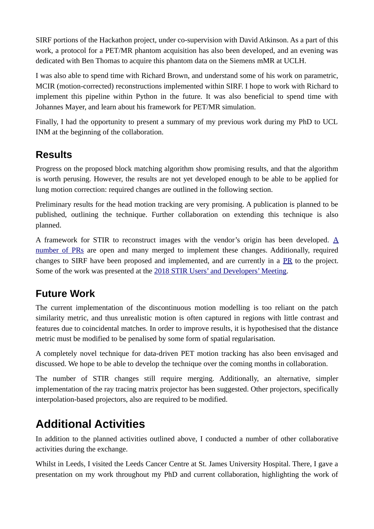SIRF portions of the Hackathon project, under co-supervision with David Atkinson. As a part of this work, a protocol for a PET/MR phantom acquisition has also been developed, and an evening was dedicated with Ben Thomas to acquire this phantom data on the Siemens mMR at UCLH.

I was also able to spend time with Richard Brown, and understand some of his work on parametric, MCIR (motion-corrected) reconstructions implemented within SIRF. I hope to work with Richard to implement this pipeline within Python in the future. It was also beneficial to spend time with Johannes Mayer, and learn about his framework for PET/MR simulation.

Finally, I had the opportunity to present a summary of my previous work during my PhD to UCL INM at the beginning of the collaboration.

## **Results**

Progress on the proposed block matching algorithm show promising results, and that the algorithm is worth perusing. However, the results are not yet developed enough to be able to be applied for lung motion correction: required changes are outlined in the following section.

Preliminary results for the head motion tracking are very promising. A publication is planned to be published, outlining the technique. Further collaboration on extending this technique is also planned.

A framework for STIR to reconstruct images with the vendor's origin has been developed. [A](https://github.com/UCL/STIR/projects/1) [number of PRs](https://github.com/UCL/STIR/projects/1) are open and many merged to implement these changes. Additionally, required changes to SIRF have been proposed and implemented, and are currently in a [PR](https://github.com/CCPPETMR/SIRF/pull/193) to the project. Some of the work was presented at the [2018 STIR Users' and Developers' Meeting.](http://stir.sourceforge.net/MIC2018UsersMeeting/)

#### **Future Work**

The current implementation of the discontinuous motion modelling is too reliant on the patch similarity metric, and thus unrealistic motion is often captured in regions with little contrast and features due to coincidental matches. In order to improve results, it is hypothesised that the distance metric must be modified to be penalised by some form of spatial regularisation.

A completely novel technique for data-driven PET motion tracking has also been envisaged and discussed. We hope to be able to develop the technique over the coming months in collaboration.

The number of STIR changes still require merging. Additionally, an alternative, simpler implementation of the ray tracing matrix projector has been suggested. Other projectors, specifically interpolation-based projectors, also are required to be modified.

## **Additional Activities**

In addition to the planned activities outlined above, I conducted a number of other collaborative activities during the exchange.

Whilst in Leeds, I visited the Leeds Cancer Centre at St. James University Hospital. There, I gave a presentation on my work throughout my PhD and current collaboration, highlighting the work of